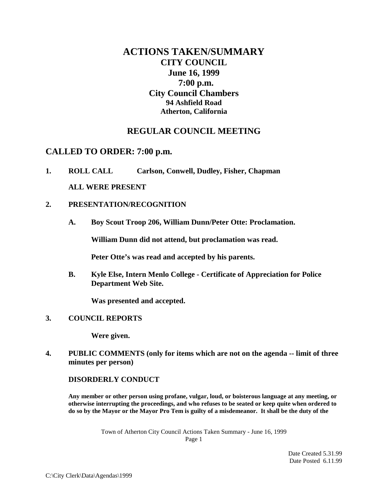# **ACTIONS TAKEN/SUMMARY CITY COUNCIL June 16, 1999 7:00 p.m. City Council Chambers 94 Ashfield Road Atherton, California**

# **REGULAR COUNCIL MEETING**

# **CALLED TO ORDER: 7:00 p.m.**

**1. ROLL CALL Carlson, Conwell, Dudley, Fisher, Chapman ALL WERE PRESENT**

## **2. PRESENTATION/RECOGNITION**

**A. Boy Scout Troop 206, William Dunn/Peter Otte: Proclamation.** 

**William Dunn did not attend, but proclamation was read.**

**Peter Otte's was read and accepted by his parents.**

**B. Kyle Else, Intern Menlo College - Certificate of Appreciation for Police Department Web Site.**

**Was presented and accepted.**

#### **3. COUNCIL REPORTS**

**Were given.**

**4. PUBLIC COMMENTS (only for items which are not on the agenda -- limit of three minutes per person)**

#### **DISORDERLY CONDUCT**

**Any member or other person using profane, vulgar, loud, or boisterous language at any meeting, or otherwise interrupting the proceedings, and who refuses to be seated or keep quite when ordered to do so by the Mayor or the Mayor Pro Tem is guilty of a misdemeanor. It shall be the duty of the** 

> Town of Atherton City Council Actions Taken Summary - June 16, 1999 Page 1

> > Date Created 5.31.99 Date Posted 6.11.99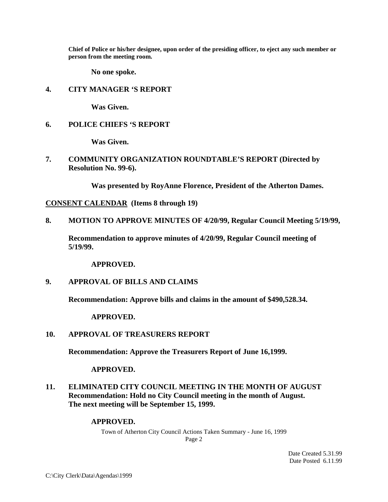**Chief of Police or his/her designee, upon order of the presiding officer, to eject any such member or person from the meeting room.**

**No one spoke.**

#### **4. CITY MANAGER 'S REPORT**

**Was Given.**

#### **6. POLICE CHIEFS 'S REPORT**

**Was Given.**

**7. COMMUNITY ORGANIZATION ROUNDTABLE'S REPORT (Directed by Resolution No. 99-6).**

**Was presented by RoyAnne Florence, President of the Atherton Dames.**

**CONSENT CALENDAR (Items 8 through 19)**

**8. MOTION TO APPROVE MINUTES OF 4/20/99, Regular Council Meeting 5/19/99,** 

**Recommendation to approve minutes of 4/20/99, Regular Council meeting of 5/19/99.**

**APPROVED.** 

#### **9. APPROVAL OF BILLS AND CLAIMS**

**Recommendation: Approve bills and claims in the amount of \$490,528.34.**

**APPROVED.**

#### **10. APPROVAL OF TREASURERS REPORT**

**Recommendation: Approve the Treasurers Report of June 16,1999.**

**APPROVED.**

**11. ELIMINATED CITY COUNCIL MEETING IN THE MONTH OF AUGUST Recommendation: Hold no City Council meeting in the month of August. The next meeting will be September 15, 1999.** 

#### **APPROVED.**

Town of Atherton City Council Actions Taken Summary - June 16, 1999 Page 2

> Date Created 5.31.99 Date Posted 6.11.99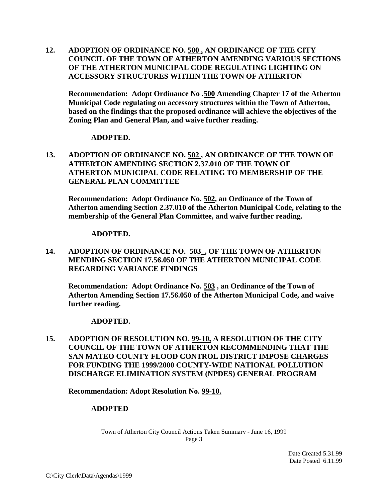**12. ADOPTION OF ORDINANCE NO. 500 , AN ORDINANCE OF THE CITY COUNCIL OF THE TOWN OF ATHERTON AMENDING VARIOUS SECTIONS OF THE ATHERTON MUNICIPAL CODE REGULATING LIGHTING ON ACCESSORY STRUCTURES WITHIN THE TOWN OF ATHERTON**

**Recommendation: Adopt Ordinance No .500 Amending Chapter 17 of the Atherton Municipal Code regulating on accessory structures within the Town of Atherton, based on the findings that the proposed ordinance will achieve the objectives of the Zoning Plan and General Plan, and waive further reading.**

#### **ADOPTED.**

**13. ADOPTION OF ORDINANCE NO. 502 , AN ORDINANCE OF THE TOWN OF ATHERTON AMENDING SECTION 2.37.010 OF THE TOWN OF ATHERTON MUNICIPAL CODE RELATING TO MEMBERSHIP OF THE GENERAL PLAN COMMITTEE**

**Recommendation: Adopt Ordinance No. 502, an Ordinance of the Town of Atherton amending Section 2.37.010 of the Atherton Municipal Code, relating to the membership of the General Plan Committee, and waive further reading.**

#### **ADOPTED.**

**14. ADOPTION OF ORDINANCE NO. 503\_, OF THE TOWN OF ATHERTON MENDING SECTION 17.56.050 OF THE ATHERTON MUNICIPAL CODE REGARDING VARIANCE FINDINGS**

**Recommendation: Adopt Ordinance No. 503 , an Ordinance of the Town of Atherton Amending Section 17.56.050 of the Atherton Municipal Code, and waive further reading.**

#### **ADOPTED.**

**15. ADOPTION OF RESOLUTION NO. 99-10, A RESOLUTION OF THE CITY COUNCIL OF THE TOWN OF ATHERTON RECOMMENDING THAT THE SAN MATEO COUNTY FLOOD CONTROL DISTRICT IMPOSE CHARGES FOR FUNDING THE 1999/2000 COUNTY-WIDE NATIONAL POLLUTION DISCHARGE ELIMINATION SYSTEM (NPDES) GENERAL PROGRAM**

**Recommendation: Adopt Resolution No. 99-10.**

#### **ADOPTED**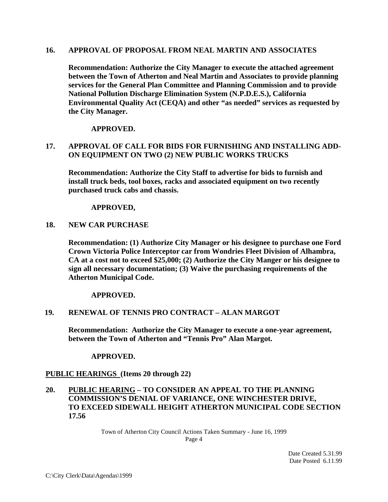#### **16. APPROVAL OF PROPOSAL FROM NEAL MARTIN AND ASSOCIATES**

**Recommendation: Authorize the City Manager to execute the attached agreement between the Town of Atherton and Neal Martin and Associates to provide planning services for the General Plan Committee and Planning Commission and to provide National Pollution Discharge Elimination System (N.P.D.E.S.), California Environmental Quality Act (CEQA) and other "as needed" services as requested by the City Manager.**

#### **APPROVED.**

# **17. APPROVAL OF CALL FOR BIDS FOR FURNISHING AND INSTALLING ADD-ON EQUIPMENT ON TWO (2) NEW PUBLIC WORKS TRUCKS**

**Recommendation: Authorize the City Staff to advertise for bids to furnish and install truck beds, tool boxes, racks and associated equipment on two recently purchased truck cabs and chassis.**

#### **APPROVED,**

#### **18. NEW CAR PURCHASE**

**Recommendation: (1) Authorize City Manager or his designee to purchase one Ford Crown Victoria Police Interceptor car from Wondries Fleet Division of Alhambra, CA at a cost not to exceed \$25,000; (2) Authorize the City Manger or his designee to sign all necessary documentation; (3) Waive the purchasing requirements of the Atherton Municipal Code.**

**APPROVED.**

#### **19. RENEWAL OF TENNIS PRO CONTRACT – ALAN MARGOT**

**Recommendation: Authorize the City Manager to execute a one-year agreement, between the Town of Atherton and "Tennis Pro" Alan Margot.**

#### **APPROVED.**

#### **PUBLIC HEARINGS (Items 20 through 22)**

### **20. PUBLIC HEARING – TO CONSIDER AN APPEAL TO THE PLANNING COMMISSION'S DENIAL OF VARIANCE, ONE WINCHESTER DRIVE, TO EXCEED SIDEWALL HEIGHT ATHERTON MUNICIPAL CODE SECTION 17.56**

Town of Atherton City Council Actions Taken Summary - June 16, 1999 Page 4

> Date Created 5.31.99 Date Posted 6.11.99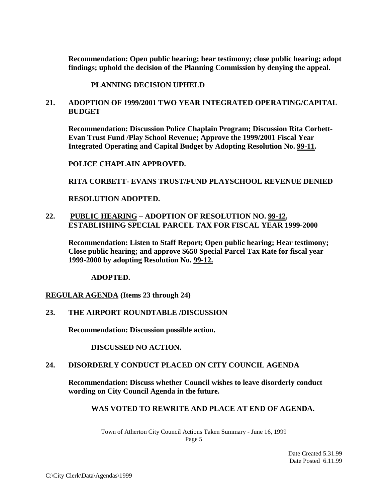**Recommendation: Open public hearing; hear testimony; close public hearing; adopt findings; uphold the decision of the Planning Commission by denying the appeal.** 

**PLANNING DECISION UPHELD**

# **21. ADOPTION OF 1999/2001 TWO YEAR INTEGRATED OPERATING/CAPITAL BUDGET**

**Recommendation: Discussion Police Chaplain Program; Discussion Rita Corbett-Evan Trust Fund /Play School Revenue; Approve the 1999/2001 Fiscal Year Integrated Operating and Capital Budget by Adopting Resolution No. 99-11.**

**POLICE CHAPLAIN APPROVED.**

**RITA CORBETT- EVANS TRUST/FUND PLAYSCHOOL REVENUE DENIED**

**RESOLUTION ADOPTED.**

# **22. PUBLIC HEARING – ADOPTION OF RESOLUTION NO. 99-12, ESTABLISHING SPECIAL PARCEL TAX FOR FISCAL YEAR 1999-2000**

**Recommendation: Listen to Staff Report; Open public hearing; Hear testimony; Close public hearing; and approve \$650 Special Parcel Tax Rate for fiscal year 1999-2000 by adopting Resolution No. 99-12.**

**ADOPTED.**

**REGULAR AGENDA (Items 23 through 24)**

# **23. THE AIRPORT ROUNDTABLE /DISCUSSION**

**Recommendation: Discussion possible action.**

**DISCUSSED NO ACTION.**

#### **24. DISORDERLY CONDUCT PLACED ON CITY COUNCIL AGENDA**

**Recommendation: Discuss whether Council wishes to leave disorderly conduct wording on City Council Agenda in the future.**

#### **WAS VOTED TO REWRITE AND PLACE AT END OF AGENDA.**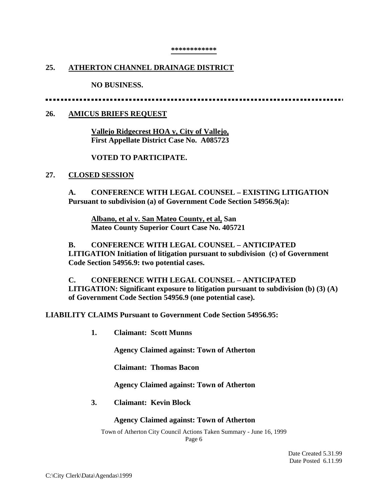#### **\*\*\*\*\*\*\*\*\*\*\*\***

#### **25. ATHERTON CHANNEL DRAINAGE DISTRICT**

**NO BUSINESS.**

......................

#### **26. AMICUS BRIEFS REQUEST**

**Vallejo Ridgecrest HOA v, City of Vallejo, First Appellate District Case No. A085723**

#### **VOTED TO PARTICIPATE.**

#### **27. CLOSED SESSION**

**A. CONFERENCE WITH LEGAL COUNSEL – EXISTING LITIGATION Pursuant to subdivision (a) of Government Code Section 54956.9(a):**

**Albano, et al v. San Mateo County, et al, San Mateo County Superior Court Case No. 405721**

**B. CONFERENCE WITH LEGAL COUNSEL – ANTICIPATED LITIGATION Initiation of litigation pursuant to subdivision (c) of Government Code Section 54956.9: two potential cases.**

**C. CONFERENCE WITH LEGAL COUNSEL – ANTICIPATED LITIGATION: Significant exposure to litigation pursuant to subdivision (b) (3) (A) of Government Code Section 54956.9 (one potential case).** 

**LIABILITY CLAIMS Pursuant to Government Code Section 54956.95:**

**1. Claimant: Scott Munns**

**Agency Claimed against: Town of Atherton**

**Claimant: Thomas Bacon**

**Agency Claimed against: Town of Atherton**

**3. Claimant: Kevin Block**

#### **Agency Claimed against: Town of Atherton**